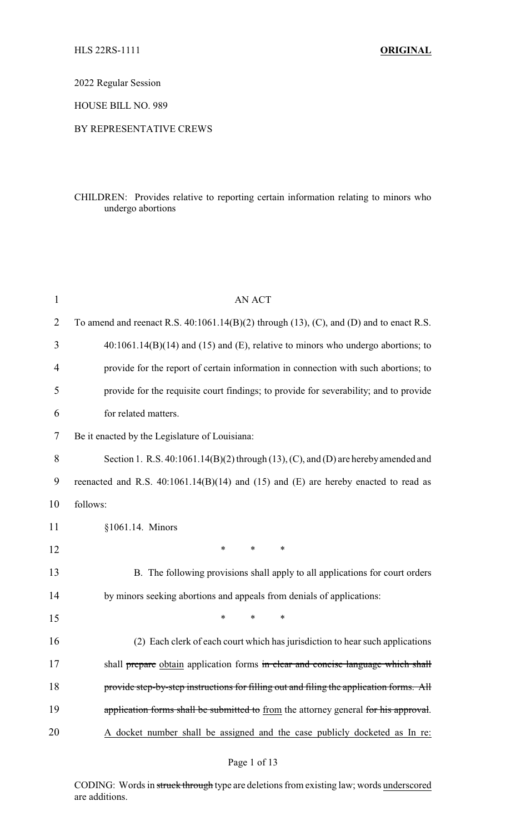2022 Regular Session

HOUSE BILL NO. 989

## BY REPRESENTATIVE CREWS

# CHILDREN: Provides relative to reporting certain information relating to minors who undergo abortions

| 1              | AN ACT                                                                                            |  |
|----------------|---------------------------------------------------------------------------------------------------|--|
| $\overline{2}$ | To amend and reenact R.S. $40:1061.14(B)(2)$ through $(13)$ , $(C)$ , and $(D)$ and to enact R.S. |  |
| 3              | $40:1061.14(B)(14)$ and (15) and (E), relative to minors who undergo abortions; to                |  |
| $\overline{4}$ | provide for the report of certain information in connection with such abortions; to               |  |
| 5              | provide for the requisite court findings; to provide for severability; and to provide             |  |
| 6              | for related matters.                                                                              |  |
| 7              | Be it enacted by the Legislature of Louisiana:                                                    |  |
| 8              | Section 1. R.S. 40:1061.14(B)(2) through (13), (C), and (D) are hereby amended and                |  |
| 9              | reenacted and R.S. $40:1061.14(B)(14)$ and $(15)$ and $(E)$ are hereby enacted to read as         |  |
| 10             | follows:                                                                                          |  |
| 11             | §1061.14. Minors                                                                                  |  |
| 12             | *<br>$\ast$<br>*                                                                                  |  |
| 13             | B. The following provisions shall apply to all applications for court orders                      |  |
| 14             | by minors seeking abortions and appeals from denials of applications:                             |  |
| 15             | *<br>$\ast$<br>*                                                                                  |  |
| 16             | (2) Each clerk of each court which has jurisdiction to hear such applications                     |  |
| 17             | shall prepare obtain application forms in clear and concise language which shall                  |  |
| 18             | provide step-by-step instructions for filling out and filing the application forms. All           |  |
| 19             | application forms shall be submitted to from the attorney general for his approval.               |  |
| 20             | A docket number shall be assigned and the case publicly docketed as In re:                        |  |
|                |                                                                                                   |  |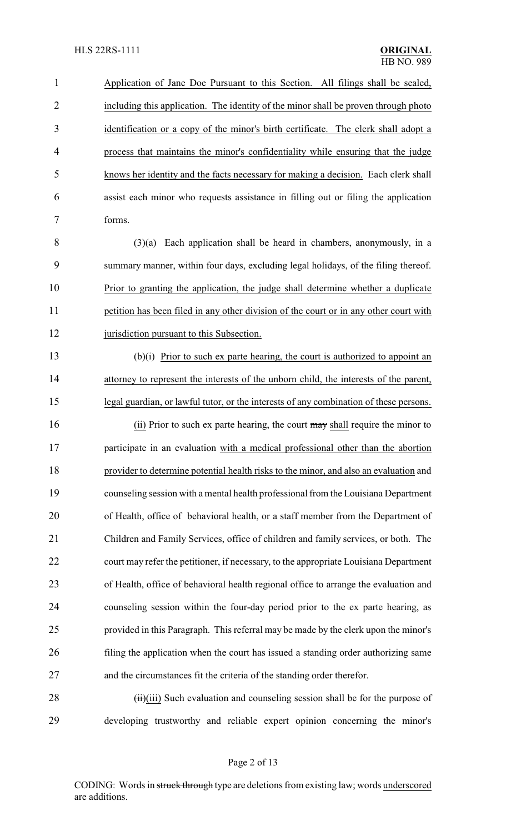Application of Jane Doe Pursuant to this Section. All filings shall be sealed, including this application. The identity of the minor shall be proven through photo identification or a copy of the minor's birth certificate. The clerk shall adopt a process that maintains the minor's confidentiality while ensuring that the judge knows her identity and the facts necessary for making a decision. Each clerk shall assist each minor who requests assistance in filling out or filing the application forms.

 (3)(a) Each application shall be heard in chambers, anonymously, in a summary manner, within four days, excluding legal holidays, of the filing thereof. Prior to granting the application, the judge shall determine whether a duplicate 11 petition has been filed in any other division of the court or in any other court with 12 jurisdiction pursuant to this Subsection.

 (b)(i) Prior to such ex parte hearing, the court is authorized to appoint an attorney to represent the interests of the unborn child, the interests of the parent, legal guardian, or lawful tutor, or the interests of any combination of these persons.

16 (ii) Prior to such ex parte hearing, the court may shall require the minor to participate in an evaluation with a medical professional other than the abortion provider to determine potential health risks to the minor, and also an evaluation and counseling session with a mental health professional from the Louisiana Department of Health, office of behavioral health, or a staff member from the Department of Children and Family Services, office of children and family services, or both. The court may refer the petitioner, if necessary, to the appropriate Louisiana Department of Health, office of behavioral health regional office to arrange the evaluation and counseling session within the four-day period prior to the ex parte hearing, as provided in this Paragraph. This referral may be made by the clerk upon the minor's filing the application when the court has issued a standing order authorizing same and the circumstances fit the criteria of the standing order therefor.

28 (iii)(iii) Such evaluation and counseling session shall be for the purpose of developing trustworthy and reliable expert opinion concerning the minor's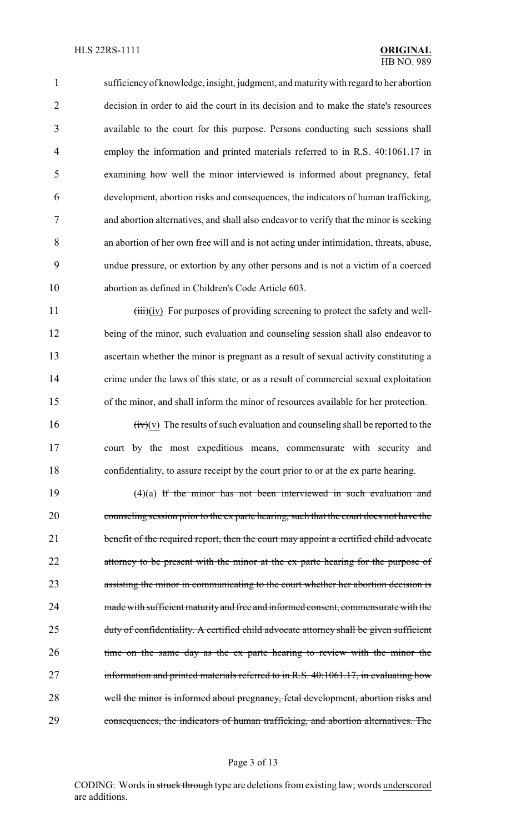sufficiencyof knowledge, insight, judgment, and maturitywith regard to her abortion decision in order to aid the court in its decision and to make the state's resources available to the court for this purpose. Persons conducting such sessions shall employ the information and printed materials referred to in R.S. 40:1061.17 in examining how well the minor interviewed is informed about pregnancy, fetal development, abortion risks and consequences, the indicators of human trafficking, and abortion alternatives, and shall also endeavor to verify that the minor is seeking an abortion of her own free will and is not acting under intimidation, threats, abuse, undue pressure, or extortion by any other persons and is not a victim of a coerced abortion as defined in Children's Code Article 603.

11 (iii)(iv) For purposes of providing screening to protect the safety and well- being of the minor, such evaluation and counseling session shall also endeavor to ascertain whether the minor is pregnant as a result of sexual activity constituting a 14 crime under the laws of this state, or as a result of commercial sexual exploitation of the minor, and shall inform the minor of resources available for her protection.

16  $(iv)(v)$  The results of such evaluation and counseling shall be reported to the court by the most expeditious means, commensurate with security and confidentiality, to assure receipt by the court prior to or at the ex parte hearing.

 (4)(a) If the minor has not been interviewed in such evaluation and counseling session prior to the ex parte hearing, such that the court does not have the 21 benefit of the required report, then the court may appoint a certified child advocate 22 attorney to be present with the minor at the ex parte hearing for the purpose of assisting the minor in communicating to the court whether her abortion decision is 24 made with sufficient maturity and free and informed consent, commensurate with the 25 duty of confidentiality. A certified child advocate attorney shall be given sufficient 26 time on the same day as the ex parte hearing to review with the minor the information and printed materials referred to in R.S. 40:1061.17, in evaluating how well the minor is informed about pregnancy, fetal development, abortion risks and consequences, the indicators of human trafficking, and abortion alternatives. The

#### Page 3 of 13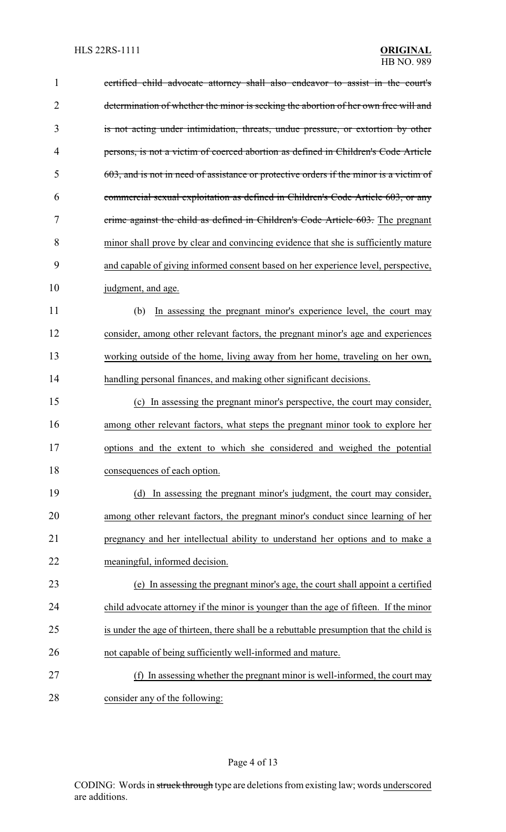| $\mathbf{1}$   | certified child advocate attorney shall also endeavor to assist in the court's          |
|----------------|-----------------------------------------------------------------------------------------|
| $\overline{2}$ | determination of whether the minor is seeking the abortion of her own free will and     |
| 3              | is not acting under intimidation, threats, undue pressure, or extortion by other        |
| 4              | persons, is not a victim of coerced abortion as defined in Children's Code Article      |
| 5              | 603, and is not in need of assistance or protective orders if the minor is a victim of  |
| 6              | commercial sexual exploitation as defined in Children's Code Article 603, or any        |
| 7              | crime against the child as defined in Children's Code Article 603. The pregnant         |
| 8              | minor shall prove by clear and convincing evidence that she is sufficiently mature      |
| 9              | and capable of giving informed consent based on her experience level, perspective,      |
| 10             | judgment, and age.                                                                      |
| 11             | In assessing the pregnant minor's experience level, the court may<br>(b)                |
| 12             | consider, among other relevant factors, the pregnant minor's age and experiences        |
| 13             | working outside of the home, living away from her home, traveling on her own,           |
| 14             | handling personal finances, and making other significant decisions.                     |
| 15             | (c) In assessing the pregnant minor's perspective, the court may consider,              |
| 16             | among other relevant factors, what steps the pregnant minor took to explore her         |
| 17             | options and the extent to which she considered and weighed the potential                |
| 18             | consequences of each option.                                                            |
| 19             | (d) In assessing the pregnant minor's judgment, the court may consider,                 |
| 20             | among other relevant factors, the pregnant minor's conduct since learning of her        |
| 21             | pregnancy and her intellectual ability to understand her options and to make a          |
| 22             | meaningful, informed decision.                                                          |
| 23             | (e) In assessing the pregnant minor's age, the court shall appoint a certified          |
| 24             | child advocate attorney if the minor is younger than the age of fifteen. If the minor   |
| 25             | is under the age of thirteen, there shall be a rebuttable presumption that the child is |
| 26             | not capable of being sufficiently well-informed and mature.                             |
| 27             | In assessing whether the pregnant minor is well-informed, the court may                 |
| 28             | consider any of the following:                                                          |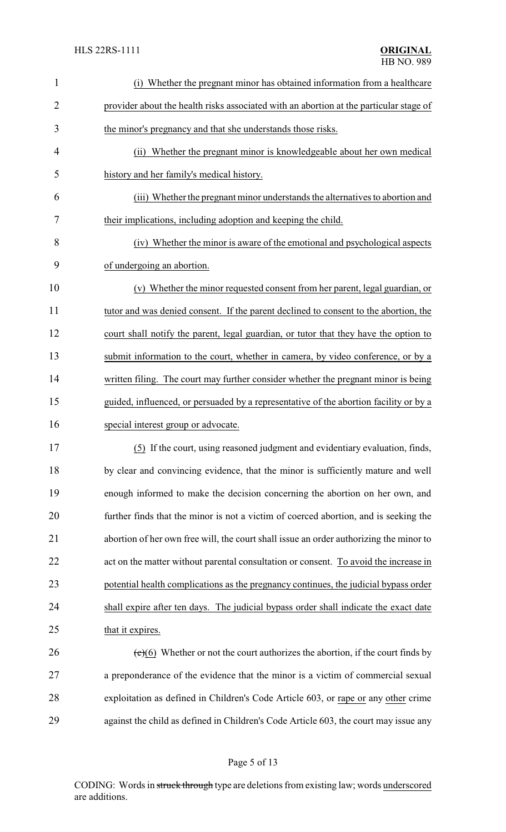| $\mathbf{1}$   | Whether the pregnant minor has obtained information from a healthcare                  |  |
|----------------|----------------------------------------------------------------------------------------|--|
| $\overline{2}$ | provider about the health risks associated with an abortion at the particular stage of |  |
| 3              | the minor's pregnancy and that she understands those risks.                            |  |
| $\overline{4}$ | (ii) Whether the pregnant minor is knowledgeable about her own medical                 |  |
| 5              | history and her family's medical history.                                              |  |
| 6              | (iii) Whether the pregnant minor understands the alternatives to abortion and          |  |
| 7              | their implications, including adoption and keeping the child.                          |  |
| 8              | (iv) Whether the minor is aware of the emotional and psychological aspects             |  |
| 9              | of undergoing an abortion.                                                             |  |
| 10             | (v) Whether the minor requested consent from her parent, legal guardian, or            |  |
| 11             | tutor and was denied consent. If the parent declined to consent to the abortion, the   |  |
| 12             | court shall notify the parent, legal guardian, or tutor that they have the option to   |  |
| 13             | submit information to the court, whether in camera, by video conference, or by a       |  |
| 14             | written filing. The court may further consider whether the pregnant minor is being     |  |
| 15             | guided, influenced, or persuaded by a representative of the abortion facility or by a  |  |
| 16             | special interest group or advocate.                                                    |  |
| 17             | (5) If the court, using reasoned judgment and evidentiary evaluation, finds,           |  |
| 18             | by clear and convincing evidence, that the minor is sufficiently mature and well       |  |
| 19             | enough informed to make the decision concerning the abortion on her own, and           |  |
| 20             | further finds that the minor is not a victim of coerced abortion, and is seeking the   |  |
| 21             | abortion of her own free will, the court shall issue an order authorizing the minor to |  |
| 22             | act on the matter without parental consultation or consent. To avoid the increase in   |  |
| 23             | potential health complications as the pregnancy continues, the judicial bypass order   |  |
| 24             | shall expire after ten days. The judicial bypass order shall indicate the exact date   |  |
| 25             | that it expires.                                                                       |  |
| 26             | $(e)(6)$ Whether or not the court authorizes the abortion, if the court finds by       |  |
| 27             | a preponderance of the evidence that the minor is a victim of commercial sexual        |  |
| 28             | exploitation as defined in Children's Code Article 603, or rape or any other crime     |  |
| 29             | against the child as defined in Children's Code Article 603, the court may issue any   |  |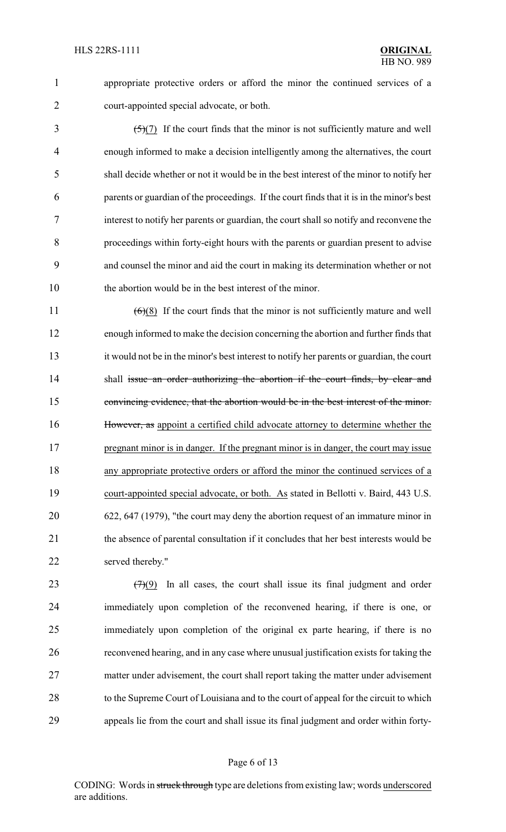appropriate protective orders or afford the minor the continued services of a court-appointed special advocate, or both.

 $\frac{5(7)}{1}$  If the court finds that the minor is not sufficiently mature and well enough informed to make a decision intelligently among the alternatives, the court shall decide whether or not it would be in the best interest of the minor to notify her parents or guardian of the proceedings. If the court finds that it is in the minor's best interest to notify her parents or guardian, the court shall so notify and reconvene the proceedings within forty-eight hours with the parents or guardian present to advise and counsel the minor and aid the court in making its determination whether or not the abortion would be in the best interest of the minor.

 (6)(8) If the court finds that the minor is not sufficiently mature and well enough informed to make the decision concerning the abortion and further finds that it would not be in the minor's best interest to notify her parents or guardian, the court 14 shall issue an order authorizing the abortion if the court finds, by clear and convincing evidence, that the abortion would be in the best interest of the minor. However, as appoint a certified child advocate attorney to determine whether the 17 pregnant minor is in danger. If the pregnant minor is in danger, the court may issue any appropriate protective orders or afford the minor the continued services of a court-appointed special advocate, or both. As stated in Bellotti v. Baird, 443 U.S. 622, 647 (1979), "the court may deny the abortion request of an immature minor in 21 the absence of parental consultation if it concludes that her best interests would be served thereby."

 $(7)(9)$  In all cases, the court shall issue its final judgment and order immediately upon completion of the reconvened hearing, if there is one, or immediately upon completion of the original ex parte hearing, if there is no reconvened hearing, and in any case where unusual justification exists for taking the matter under advisement, the court shall report taking the matter under advisement to the Supreme Court of Louisiana and to the court of appeal for the circuit to which appeals lie from the court and shall issue its final judgment and order within forty-

### Page 6 of 13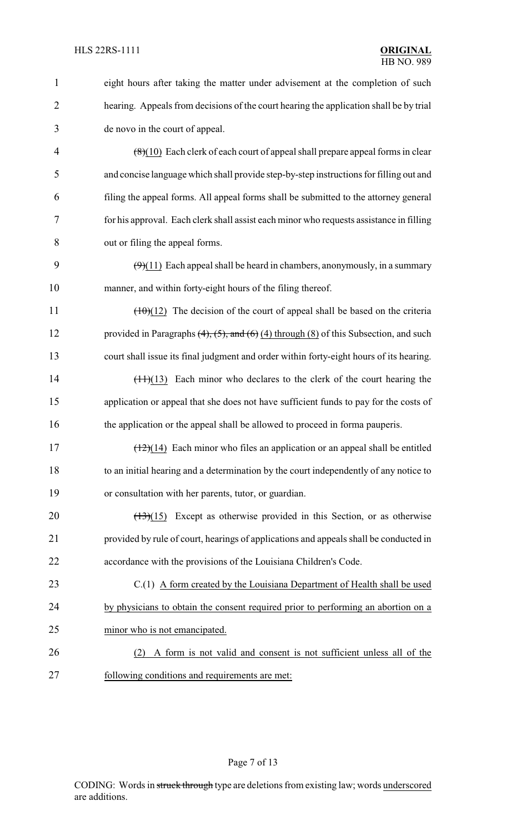| $\mathbf{1}$   | eight hours after taking the matter under advisement at the completion of such                    |  |
|----------------|---------------------------------------------------------------------------------------------------|--|
| $\overline{2}$ | hearing. Appeals from decisions of the court hearing the application shall be by trial            |  |
| 3              | de novo in the court of appeal.                                                                   |  |
| 4              | $(8)(10)$ Each clerk of each court of appeal shall prepare appeal forms in clear                  |  |
| 5              | and concise language which shall provide step-by-step instructions for filling out and            |  |
| 6              | filing the appeal forms. All appeal forms shall be submitted to the attorney general              |  |
| 7              | for his approval. Each clerk shall assist each minor who requests assistance in filling           |  |
| 8              | out or filing the appeal forms.                                                                   |  |
| 9              | $(9)(11)$ Each appeal shall be heard in chambers, anonymously, in a summary                       |  |
| 10             | manner, and within forty-eight hours of the filing thereof.                                       |  |
| 11             | $(\pm 0)(12)$ The decision of the court of appeal shall be based on the criteria                  |  |
| 12             | provided in Paragraphs $(4)$ , $(5)$ , and $(6)$ $(4)$ through $(8)$ of this Subsection, and such |  |
| 13             | court shall issue its final judgment and order within forty-eight hours of its hearing.           |  |
| 14             | $(\pm 1)(13)$ Each minor who declares to the clerk of the court hearing the                       |  |
| 15             | application or appeal that she does not have sufficient funds to pay for the costs of             |  |
| 16             | the application or the appeal shall be allowed to proceed in forma pauperis.                      |  |
| 17             | $\left(\frac{12}{14}\right)$ Each minor who files an application or an appeal shall be entitled   |  |
| 18             | to an initial hearing and a determination by the court independently of any notice to             |  |
| 19             | or consultation with her parents, tutor, or guardian.                                             |  |
| 20             | Except as otherwise provided in this Section, or as otherwise<br>$\left(\frac{13}{2}\right)(15)$  |  |
| 21             | provided by rule of court, hearings of applications and appeals shall be conducted in             |  |
| 22             | accordance with the provisions of the Louisiana Children's Code.                                  |  |
| 23             | $C(1)$ A form created by the Louisiana Department of Health shall be used                         |  |
| 24             | by physicians to obtain the consent required prior to performing an abortion on a                 |  |
| 25             | minor who is not emancipated.                                                                     |  |
| 26             | A form is not valid and consent is not sufficient unless all of the<br>(2)                        |  |
| 27             | following conditions and requirements are met:                                                    |  |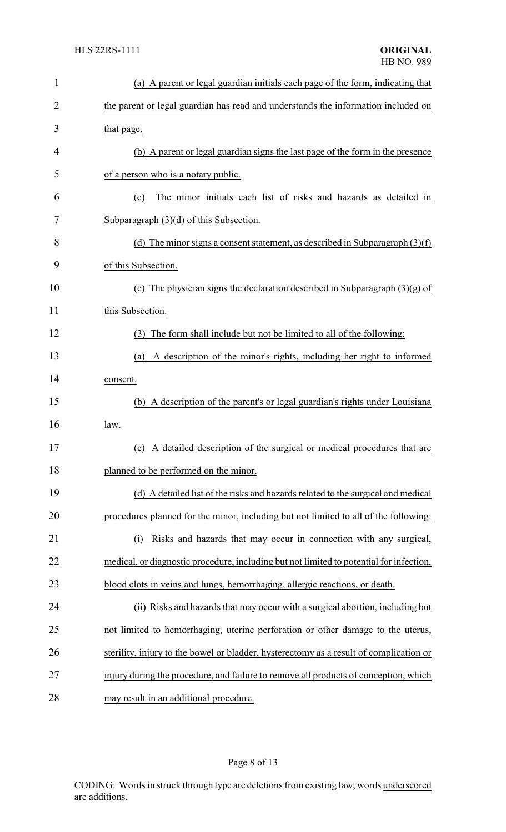| $\mathbf{1}$   | (a) A parent or legal guardian initials each page of the form, indicating that          |  |
|----------------|-----------------------------------------------------------------------------------------|--|
| $\overline{2}$ | the parent or legal guardian has read and understands the information included on       |  |
| 3              | that page.                                                                              |  |
| 4              | (b) A parent or legal guardian signs the last page of the form in the presence          |  |
| 5              | of a person who is a notary public.                                                     |  |
| 6              | The minor initials each list of risks and hazards as detailed in<br>(c)                 |  |
| 7              | Subparagraph $(3)(d)$ of this Subsection.                                               |  |
| 8              | (d) The minor signs a consent statement, as described in Subparagraph $(3)(f)$          |  |
| 9              | of this Subsection.                                                                     |  |
| 10             | (e) The physician signs the declaration described in Subparagraph $(3)(g)$ of           |  |
| 11             | this Subsection.                                                                        |  |
| 12             | The form shall include but not be limited to all of the following:<br>(3)               |  |
| 13             | A description of the minor's rights, including her right to informed<br>(a)             |  |
| 14             | consent.                                                                                |  |
| 15             | (b) A description of the parent's or legal guardian's rights under Louisiana            |  |
| 16             | law.                                                                                    |  |
| 17             | (c) A detailed description of the surgical or medical procedures that are               |  |
| 18             | planned to be performed on the minor.                                                   |  |
| 19             | (d) A detailed list of the risks and hazards related to the surgical and medical        |  |
| 20             | procedures planned for the minor, including but not limited to all of the following:    |  |
| 21             | Risks and hazards that may occur in connection with any surgical,<br>(i)                |  |
| 22             | medical, or diagnostic procedure, including but not limited to potential for infection, |  |
| 23             | blood clots in veins and lungs, hemorrhaging, allergic reactions, or death.             |  |
| 24             | (ii) Risks and hazards that may occur with a surgical abortion, including but           |  |
| 25             | not limited to hemorrhaging, uterine perforation or other damage to the uterus,         |  |
| 26             | sterility, injury to the bowel or bladder, hysterectomy as a result of complication or  |  |
| 27             | injury during the procedure, and failure to remove all products of conception, which    |  |
| 28             | may result in an additional procedure.                                                  |  |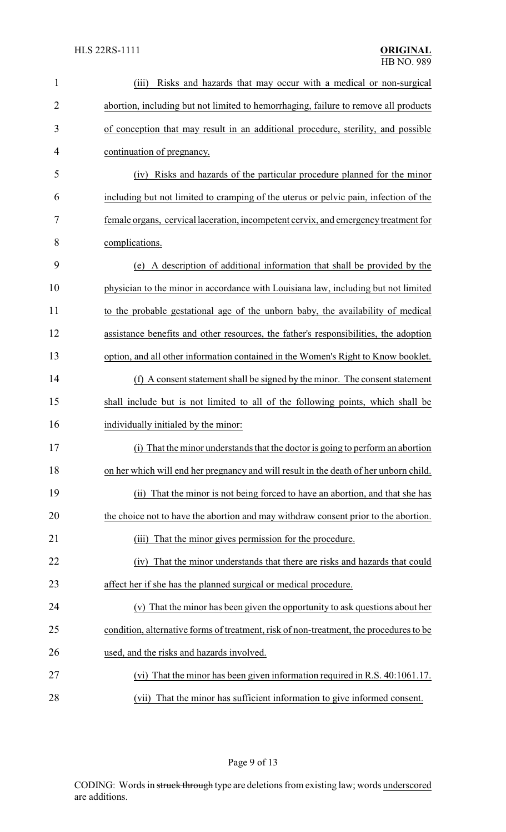| $\mathbf{1}$   | Risks and hazards that may occur with a medical or non-surgical<br>(iii)               |
|----------------|----------------------------------------------------------------------------------------|
| $\overline{2}$ | abortion, including but not limited to hemorrhaging, failure to remove all products    |
| 3              | of conception that may result in an additional procedure, sterility, and possible      |
| 4              | continuation of pregnancy.                                                             |
| 5              | Risks and hazards of the particular procedure planned for the minor<br>(iv)            |
| 6              | including but not limited to cramping of the uterus or pelvic pain, infection of the   |
| 7              | female organs, cervical laceration, incompetent cervix, and emergency treatment for    |
| 8              | complications.                                                                         |
| 9              | (e) A description of additional information that shall be provided by the              |
| 10             | physician to the minor in accordance with Louisiana law, including but not limited     |
| 11             | to the probable gestational age of the unborn baby, the availability of medical        |
| 12             | assistance benefits and other resources, the father's responsibilities, the adoption   |
| 13             | option, and all other information contained in the Women's Right to Know booklet.      |
| 14             | (f) A consent statement shall be signed by the minor. The consent statement            |
| 15             | shall include but is not limited to all of the following points, which shall be        |
| 16             | individually initialed by the minor:                                                   |
| 17             | (i) That the minor understands that the doctor is going to perform an abortion         |
| 18             | on her which will end her pregnancy and will result in the death of her unborn child.  |
| 19             | That the minor is not being forced to have an abortion, and that she has<br>(ii)       |
| 20             | the choice not to have the abortion and may withdraw consent prior to the abortion.    |
| 21             | That the minor gives permission for the procedure.<br>(iii)                            |
| 22             | That the minor understands that there are risks and hazards that could<br>(iv)         |
| 23             | affect her if she has the planned surgical or medical procedure.                       |
| 24             | (v) That the minor has been given the opportunity to ask questions about her           |
| 25             | condition, alternative forms of treatment, risk of non-treatment, the procedures to be |
| 26             | used, and the risks and hazards involved.                                              |
| 27             | That the minor has been given information required in R.S. 40:1061.17.<br>(vi)         |
| 28             | (vii) That the minor has sufficient information to give informed consent.              |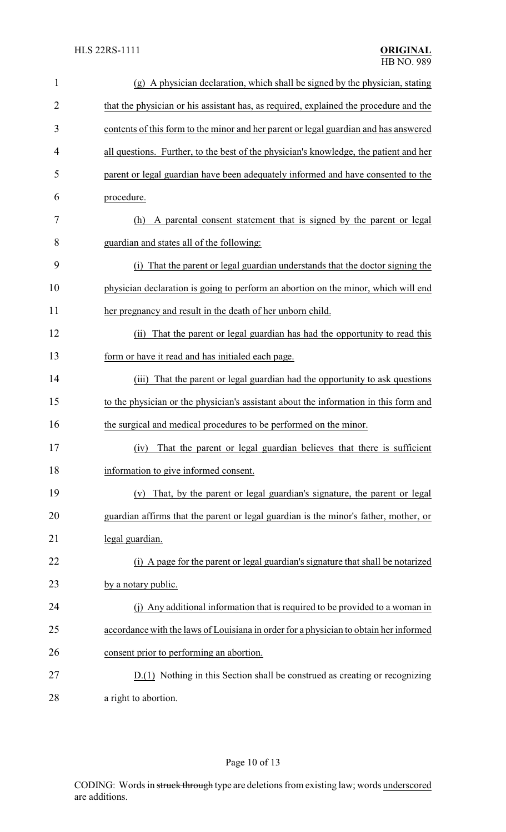| $\mathbf{1}$   | (g) A physician declaration, which shall be signed by the physician, stating          |
|----------------|---------------------------------------------------------------------------------------|
| $\overline{2}$ | that the physician or his assistant has, as required, explained the procedure and the |
| 3              | contents of this form to the minor and her parent or legal guardian and has answered  |
| 4              | all questions. Further, to the best of the physician's knowledge, the patient and her |
| 5              | parent or legal guardian have been adequately informed and have consented to the      |
| 6              | procedure.                                                                            |
| 7              | A parental consent statement that is signed by the parent or legal<br>(h)             |
| 8              | guardian and states all of the following:                                             |
| 9              | That the parent or legal guardian understands that the doctor signing the<br>(i)      |
| 10             | physician declaration is going to perform an abortion on the minor, which will end    |
| 11             | her pregnancy and result in the death of her unborn child.                            |
| 12             | That the parent or legal guardian has had the opportunity to read this<br>(ii)        |
| 13             | form or have it read and has initialed each page.                                     |
| 14             | (iii) That the parent or legal guardian had the opportunity to ask questions          |
| 15             | to the physician or the physician's assistant about the information in this form and  |
| 16             | the surgical and medical procedures to be performed on the minor.                     |
| 17             | (iv) That the parent or legal guardian believes that there is sufficient              |
| 18             | information to give informed consent.                                                 |
| 19             | (v) That, by the parent or legal guardian's signature, the parent or legal            |
| 20             | guardian affirms that the parent or legal guardian is the minor's father, mother, or  |
| 21             | legal guardian.                                                                       |
| 22             | (i) A page for the parent or legal guardian's signature that shall be notarized       |
| 23             | by a notary public.                                                                   |
| 24             | (j) Any additional information that is required to be provided to a woman in          |
| 25             | accordance with the laws of Louisiana in order for a physician to obtain her informed |
| 26             | consent prior to performing an abortion.                                              |
| 27             | D.(1) Nothing in this Section shall be construed as creating or recognizing           |
| 28             | a right to abortion.                                                                  |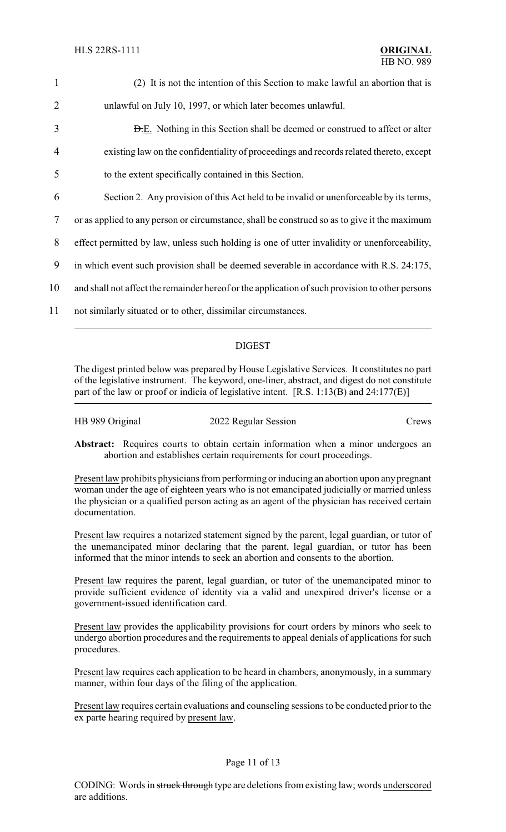| $\mathbf{1}$   | (2) It is not the intention of this Section to make lawful an abortion that is                  |  |
|----------------|-------------------------------------------------------------------------------------------------|--|
| $\overline{2}$ | unlawful on July 10, 1997, or which later becomes unlawful.                                     |  |
| 3              | <b>D.E.</b> Nothing in this Section shall be deemed or construed to affect or alter             |  |
| $\overline{4}$ | existing law on the confidentiality of proceedings and records related thereto, except          |  |
| 5              | to the extent specifically contained in this Section.                                           |  |
| 6              | Section 2. Any provision of this Act held to be invalid or unenforceable by its terms,          |  |
| 7              | or as applied to any person or circumstance, shall be construed so as to give it the maximum    |  |
| 8              | effect permitted by law, unless such holding is one of utter invalidity or unenforceability,    |  |
| 9              | in which event such provision shall be deemed severable in accordance with R.S. 24:175,         |  |
| 10             | and shall not affect the remainder hereof or the application of such provision to other persons |  |
| 11             | not similarly situated or to other, dissimilar circumstances.                                   |  |
|                |                                                                                                 |  |

## DIGEST

The digest printed below was prepared by House Legislative Services. It constitutes no part of the legislative instrument. The keyword, one-liner, abstract, and digest do not constitute part of the law or proof or indicia of legislative intent. [R.S. 1:13(B) and 24:177(E)]

| HB 989 Original | 2022 Regular Session | Crews |
|-----------------|----------------------|-------|
|-----------------|----------------------|-------|

Abstract: Requires courts to obtain certain information when a minor undergoes an abortion and establishes certain requirements for court proceedings.

Present law prohibits physicians from performing or inducing an abortion upon any pregnant woman under the age of eighteen years who is not emancipated judicially or married unless the physician or a qualified person acting as an agent of the physician has received certain documentation.

Present law requires a notarized statement signed by the parent, legal guardian, or tutor of the unemancipated minor declaring that the parent, legal guardian, or tutor has been informed that the minor intends to seek an abortion and consents to the abortion.

Present law requires the parent, legal guardian, or tutor of the unemancipated minor to provide sufficient evidence of identity via a valid and unexpired driver's license or a government-issued identification card.

Present law provides the applicability provisions for court orders by minors who seek to undergo abortion procedures and the requirements to appeal denials of applications for such procedures.

Present law requires each application to be heard in chambers, anonymously, in a summary manner, within four days of the filing of the application.

Present law requires certain evaluations and counseling sessions to be conducted prior to the ex parte hearing required by present law.

## Page 11 of 13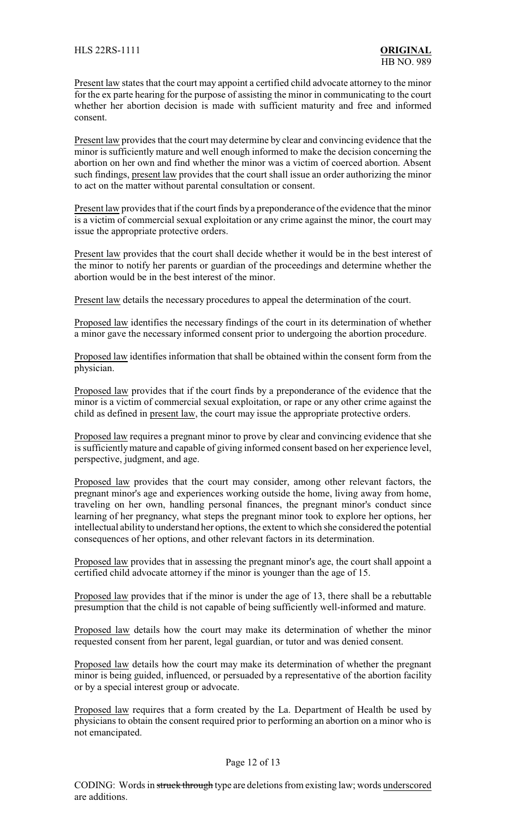Present law states that the court may appoint a certified child advocate attorney to the minor for the ex parte hearing for the purpose of assisting the minor in communicating to the court whether her abortion decision is made with sufficient maturity and free and informed consent.

Present law provides that the court may determine by clear and convincing evidence that the minor is sufficiently mature and well enough informed to make the decision concerning the abortion on her own and find whether the minor was a victim of coerced abortion. Absent such findings, present law provides that the court shall issue an order authorizing the minor to act on the matter without parental consultation or consent.

Present law provides that if the court finds by a preponderance of the evidence that the minor is a victim of commercial sexual exploitation or any crime against the minor, the court may issue the appropriate protective orders.

Present law provides that the court shall decide whether it would be in the best interest of the minor to notify her parents or guardian of the proceedings and determine whether the abortion would be in the best interest of the minor.

Present law details the necessary procedures to appeal the determination of the court.

Proposed law identifies the necessary findings of the court in its determination of whether a minor gave the necessary informed consent prior to undergoing the abortion procedure.

Proposed law identifies information that shall be obtained within the consent form from the physician.

Proposed law provides that if the court finds by a preponderance of the evidence that the minor is a victim of commercial sexual exploitation, or rape or any other crime against the child as defined in present law, the court may issue the appropriate protective orders.

Proposed law requires a pregnant minor to prove by clear and convincing evidence that she is sufficientlymature and capable of giving informed consent based on her experience level, perspective, judgment, and age.

Proposed law provides that the court may consider, among other relevant factors, the pregnant minor's age and experiences working outside the home, living away from home, traveling on her own, handling personal finances, the pregnant minor's conduct since learning of her pregnancy, what steps the pregnant minor took to explore her options, her intellectual ability to understand her options, the extent to which she considered the potential consequences of her options, and other relevant factors in its determination.

Proposed law provides that in assessing the pregnant minor's age, the court shall appoint a certified child advocate attorney if the minor is younger than the age of 15.

Proposed law provides that if the minor is under the age of 13, there shall be a rebuttable presumption that the child is not capable of being sufficiently well-informed and mature.

Proposed law details how the court may make its determination of whether the minor requested consent from her parent, legal guardian, or tutor and was denied consent.

Proposed law details how the court may make its determination of whether the pregnant minor is being guided, influenced, or persuaded by a representative of the abortion facility or by a special interest group or advocate.

Proposed law requires that a form created by the La. Department of Health be used by physicians to obtain the consent required prior to performing an abortion on a minor who is not emancipated.

### Page 12 of 13